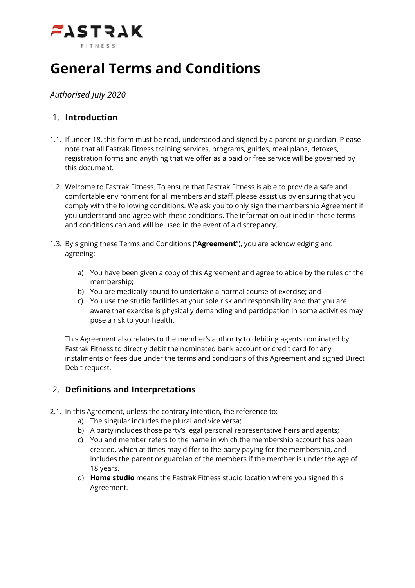

# **General Terms and Conditions**

*Authorised July 2020*

## 1. **Introduction**

- 1.1. If under 18, this form must be read, understood and signed by a parent or guardian. Please note that all Fastrak Fitness training services, programs, guides, meal plans, detoxes, registration forms and anything that we offer as a paid or free service will be governed by this document.
- 1.2. Welcome to Fastrak Fitness. To ensure that Fastrak Fitness is able to provide a safe and comfortable environment for all members and staff, please assist us by ensuring that you comply with the following conditions. We ask you to only sign the membership Agreement if you understand and agree with these conditions. The information outlined in these terms and conditions can and will be used in the event of a discrepancy.
- 1.3. By signing these Terms and Conditions ("**Agreement**"), you are acknowledging and agreeing:
	- a) You have been given a copy of this Agreement and agree to abide by the rules of the membership;
	- b) You are medically sound to undertake a normal course of exercise; and
	- c) You use the studio facilities at your sole risk and responsibility and that you are aware that exercise is physically demanding and participation in some activities may pose a risk to your health.

This Agreement also relates to the member's authority to debiting agents nominated by Fastrak Fitness to directly debit the nominated bank account or credit card for any instalments or fees due under the terms and conditions of this Agreement and signed Direct Debit request.

## 2. **Definitions and Interpretations**

- 2.1. In this Agreement, unless the contrary intention, the reference to:
	- a) The singular includes the plural and vice versa;
	- b) A party includes those party's legal personal representative heirs and agents;
	- c) You and member refers to the name in which the membership account has been created, which at times may differ to the party paying for the membership, and includes the parent or guardian of the members if the member is under the age of 18 years.
	- d) **Home studio** means the Fastrak Fitness studio location where you signed this Agreement.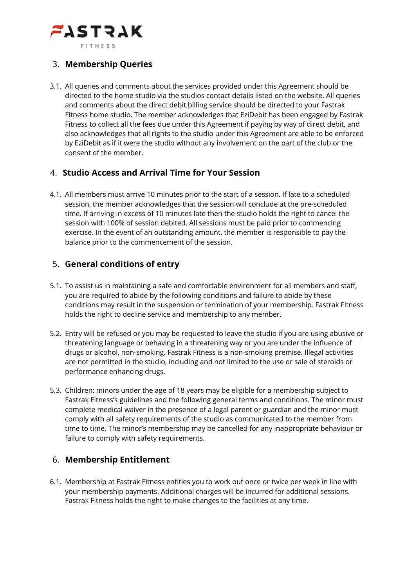

## 3. **Membership Queries**

3.1. All queries and comments about the services provided under this Agreement should be directed to the home studio via the studios contact details listed on the website. All queries and comments about the direct debit billing service should be directed to your Fastrak Fitness home studio. The member acknowledges that EziDebit has been engaged by Fastrak Fitness to collect all the fees due under this Agreement if paying by way of direct debit, and also acknowledges that all rights to the studio under this Agreement are able to be enforced by EziDebit as if it were the studio without any involvement on the part of the club or the consent of the member.

#### 4. **Studio Access and Arrival Time for Your Session**

4.1. All members must arrive 10 minutes prior to the start of a session. If late to a scheduled session, the member acknowledges that the session will conclude at the pre-scheduled time. If arriving in excess of 10 minutes late then the studio holds the right to cancel the session with 100% of session debited. All sessions must be paid prior to commencing exercise. In the event of an outstanding amount, the member is responsible to pay the balance prior to the commencement of the session.

## 5. **General conditions of entry**

- 5.1. To assist us in maintaining a safe and comfortable environment for all members and staff, you are required to abide by the following conditions and failure to abide by these conditions may result in the suspension or termination of your membership. Fastrak Fitness holds the right to decline service and membership to any member.
- 5.2. Entry will be refused or you may be requested to leave the studio if you are using abusive or threatening language or behaving in a threatening way or you are under the influence of drugs or alcohol, non-smoking. Fastrak Fitness is a non-smoking premise. Illegal activities are not permitted in the studio, including and not limited to the use or sale of steroids or performance enhancing drugs.
- 5.3. Children: minors under the age of 18 years may be eligible for a membership subject to Fastrak Fitness's guidelines and the following general terms and conditions. The minor must complete medical waiver in the presence of a legal parent or guardian and the minor must comply with all safety requirements of the studio as communicated to the member from time to time. The minor's membership may be cancelled for any inappropriate behaviour or failure to comply with safety requirements.

## 6. **Membership Entitlement**

6.1. Membership at Fastrak Fitness entitles you to work out once or twice per week in line with your membership payments. Additional charges will be incurred for additional sessions. Fastrak Fitness holds the right to make changes to the facilities at any time.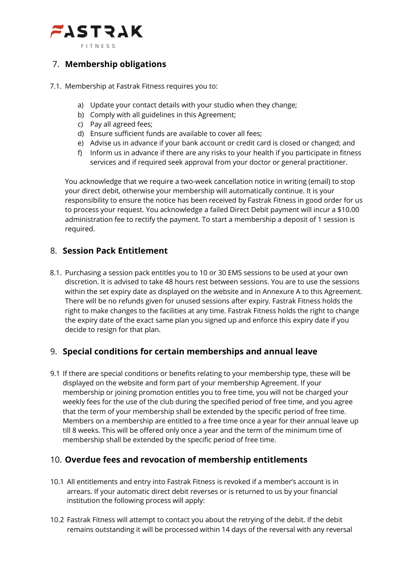

## 7. **Membership obligations**

- 7.1. Membership at Fastrak Fitness requires you to:
	- a) Update your contact details with your studio when they change;
	- b) Comply with all guidelines in this Agreement;
	- c) Pay all agreed fees;
	- d) Ensure sufficient funds are available to cover all fees;
	- e) Advise us in advance if your bank account or credit card is closed or changed; and
	- f) Inform us in advance if there are any risks to your health if you participate in fitness services and if required seek approval from your doctor or general practitioner.

You acknowledge that we require a two-week cancellation notice in writing (email) to stop your direct debit, otherwise your membership will automatically continue. It is your responsibility to ensure the notice has been received by Fastrak Fitness in good order for us to process your request. You acknowledge a failed Direct Debit payment will incur a \$10.00 administration fee to rectify the payment. To start a membership a deposit of 1 session is required.

## 8. **Session Pack Entitlement**

8.1. Purchasing a session pack entitles you to 10 or 30 EMS sessions to be used at your own discretion. It is advised to take 48 hours rest between sessions. You are to use the sessions within the set expiry date as displayed on the website and in Annexure A to this Agreement. There will be no refunds given for unused sessions after expiry. Fastrak Fitness holds the right to make changes to the facilities at any time. Fastrak Fitness holds the right to change the expiry date of the exact same plan you signed up and enforce this expiry date if you decide to resign for that plan.

#### 9. **Special conditions for certain memberships and annual leave**

9.1 If there are special conditions or benefits relating to your membership type, these will be displayed on the website and form part of your membership Agreement. If your membership or joining promotion entitles you to free time, you will not be charged your weekly fees for the use of the club during the specified period of free time, and you agree that the term of your membership shall be extended by the specific period of free time. Members on a membership are entitled to a free time once a year for their annual leave up till 8 weeks. This will be offered only once a year and the term of the minimum time of membership shall be extended by the specific period of free time.

## 10. **Overdue fees and revocation of membership entitlements**

- 10.1 All entitlements and entry into Fastrak Fitness is revoked if a member's account is in arrears. If your automatic direct debit reverses or is returned to us by your financial institution the following process will apply:
- 10.2 Fastrak Fitness will attempt to contact you about the retrying of the debit. If the debit remains outstanding it will be processed within 14 days of the reversal with any reversal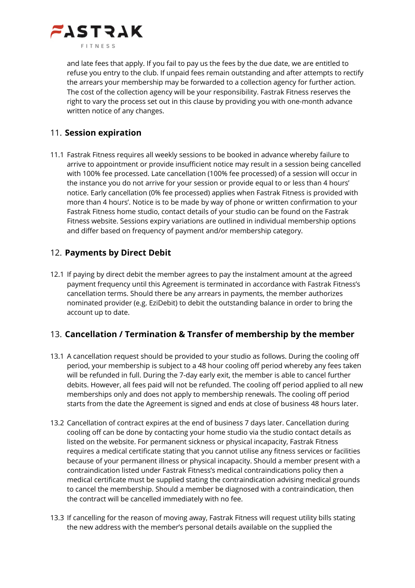

and late fees that apply. If you fail to pay us the fees by the due date, we are entitled to refuse you entry to the club. If unpaid fees remain outstanding and after attempts to rectify the arrears your membership may be forwarded to a collection agency for further action. The cost of the collection agency will be your responsibility. Fastrak Fitness reserves the right to vary the process set out in this clause by providing you with one-month advance written notice of any changes.

## 11. **Session expiration**

11.1 Fastrak Fitness requires all weekly sessions to be booked in advance whereby failure to arrive to appointment or provide insufficient notice may result in a session being cancelled with 100% fee processed. Late cancellation (100% fee processed) of a session will occur in the instance you do not arrive for your session or provide equal to or less than 4 hours' notice. Early cancellation (0% fee processed) applies when Fastrak Fitness is provided with more than 4 hours'. Notice is to be made by way of phone or written confirmation to your Fastrak Fitness home studio, contact details of your studio can be found on the Fastrak Fitness website. Sessions expiry variations are outlined in individual membership options and differ based on frequency of payment and/or membership category.

## 12. **Payments by Direct Debit**

12.1 If paying by direct debit the member agrees to pay the instalment amount at the agreed payment frequency until this Agreement is terminated in accordance with Fastrak Fitness's cancellation terms. Should there be any arrears in payments, the member authorizes nominated provider (e.g. EziDebit) to debit the outstanding balance in order to bring the account up to date.

## 13. **Cancellation / Termination & Transfer of membership by the member**

- 13.1 A cancellation request should be provided to your studio as follows. During the cooling off period, your membership is subject to a 48 hour cooling off period whereby any fees taken will be refunded in full. During the 7-day early exit, the member is able to cancel further debits. However, all fees paid will not be refunded. The cooling off period applied to all new memberships only and does not apply to membership renewals. The cooling off period starts from the date the Agreement is signed and ends at close of business 48 hours later.
- 13.2 Cancellation of contract expires at the end of business 7 days later. Cancellation during cooling off can be done by contacting your home studio via the studio contact details as listed on the website. For permanent sickness or physical incapacity, Fastrak Fitness requires a medical certificate stating that you cannot utilise any fitness services or facilities because of your permanent illness or physical incapacity. Should a member present with a contraindication listed under Fastrak Fitness's medical contraindications policy then a medical certificate must be supplied stating the contraindication advising medical grounds to cancel the membership. Should a member be diagnosed with a contraindication, then the contract will be cancelled immediately with no fee.
- 13.3 If cancelling for the reason of moving away, Fastrak Fitness will request utility bills stating the new address with the member's personal details available on the supplied the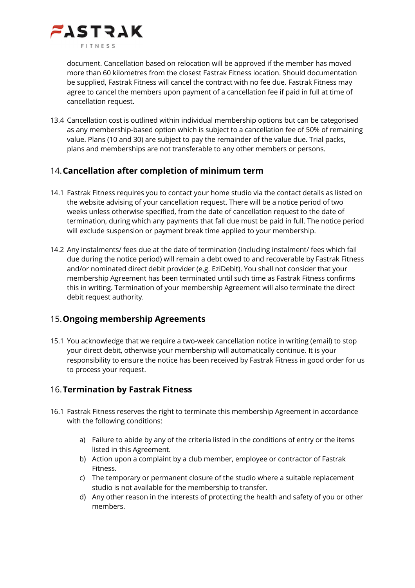

document. Cancellation based on relocation will be approved if the member has moved more than 60 kilometres from the closest Fastrak Fitness location. Should documentation be supplied, Fastrak Fitness will cancel the contract with no fee due. Fastrak Fitness may agree to cancel the members upon payment of a cancellation fee if paid in full at time of cancellation request.

13.4 Cancellation cost is outlined within individual membership options but can be categorised as any membership-based option which is subject to a cancellation fee of 50% of remaining value. Plans (10 and 30) are subject to pay the remainder of the value due. Trial packs, plans and memberships are not transferable to any other members or persons.

#### 14.**Cancellation after completion of minimum term**

- 14.1 Fastrak Fitness requires you to contact your home studio via the contact details as listed on the website advising of your cancellation request. There will be a notice period of two weeks unless otherwise specified, from the date of cancellation request to the date of termination, during which any payments that fall due must be paid in full. The notice period will exclude suspension or payment break time applied to your membership.
- 14.2 Any instalments/ fees due at the date of termination (including instalment/ fees which fail due during the notice period) will remain a debt owed to and recoverable by Fastrak Fitness and/or nominated direct debit provider (e.g. EziDebit). You shall not consider that your membership Agreement has been terminated until such time as Fastrak Fitness confirms this in writing. Termination of your membership Agreement will also terminate the direct debit request authority.

#### 15.**Ongoing membership Agreements**

15.1 You acknowledge that we require a two-week cancellation notice in writing (email) to stop your direct debit, otherwise your membership will automatically continue. It is your responsibility to ensure the notice has been received by Fastrak Fitness in good order for us to process your request.

## 16.**Termination by Fastrak Fitness**

- 16.1 Fastrak Fitness reserves the right to terminate this membership Agreement in accordance with the following conditions:
	- a) Failure to abide by any of the criteria listed in the conditions of entry or the items listed in this Agreement.
	- b) Action upon a complaint by a club member, employee or contractor of Fastrak Fitness.
	- c) The temporary or permanent closure of the studio where a suitable replacement studio is not available for the membership to transfer.
	- d) Any other reason in the interests of protecting the health and safety of you or other members.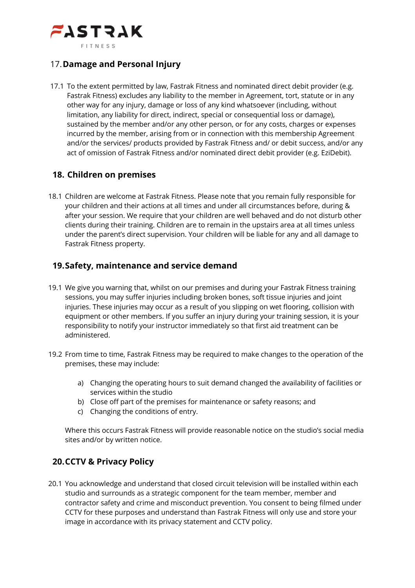

#### 17.**Damage and Personal Injury**

17.1 To the extent permitted by law, Fastrak Fitness and nominated direct debit provider (e.g. Fastrak Fitness) excludes any liability to the member in Agreement, tort, statute or in any other way for any injury, damage or loss of any kind whatsoever (including, without limitation, any liability for direct, indirect, special or consequential loss or damage), sustained by the member and/or any other person, or for any costs, charges or expenses incurred by the member, arising from or in connection with this membership Agreement and/or the services/ products provided by Fastrak Fitness and/ or debit success, and/or any act of omission of Fastrak Fitness and/or nominated direct debit provider (e.g. EziDebit).

#### **18. Children on premises**

18.1 Children are welcome at Fastrak Fitness. Please note that you remain fully responsible for your children and their actions at all times and under all circumstances before, during & after your session. We require that your children are well behaved and do not disturb other clients during their training. Children are to remain in the upstairs area at all times unless under the parent's direct supervision. Your children will be liable for any and all damage to Fastrak Fitness property.

#### **19.Safety, maintenance and service demand**

- 19.1 We give you warning that, whilst on our premises and during your Fastrak Fitness training sessions, you may suffer injuries including broken bones, soft tissue injuries and joint injuries. These injuries may occur as a result of you slipping on wet flooring, collision with equipment or other members. If you suffer an injury during your training session, it is your responsibility to notify your instructor immediately so that first aid treatment can be administered.
- 19.2 From time to time, Fastrak Fitness may be required to make changes to the operation of the premises, these may include:
	- a) Changing the operating hours to suit demand changed the availability of facilities or services within the studio
	- b) Close off part of the premises for maintenance or safety reasons; and
	- c) Changing the conditions of entry.

Where this occurs Fastrak Fitness will provide reasonable notice on the studio's social media sites and/or by written notice.

## **20.CCTV & Privacy Policy**

20.1 You acknowledge and understand that closed circuit television will be installed within each studio and surrounds as a strategic component for the team member, member and contractor safety and crime and misconduct prevention. You consent to being filmed under CCTV for these purposes and understand than Fastrak Fitness will only use and store your image in accordance with its privacy statement and CCTV policy.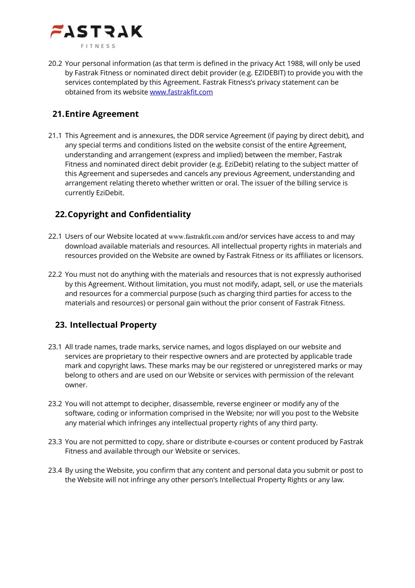

20.2 Your personal information (as that term is defined in the privacy Act 1988, will only be used by Fastrak Fitness or nominated direct debit provider (e.g. EZIDEBIT) to provide you with the services contemplated by this Agreement. Fastrak Fitness's privacy statement can be obtained from its website www.fastrakfit.com

# **21.Entire Agreement**

21.1 This Agreement and is annexures, the DDR service Agreement (if paying by direct debit), and any special terms and conditions listed on the website consist of the entire Agreement, understanding and arrangement (express and implied) between the member, Fastrak Fitness and nominated direct debit provider (e.g. EziDebit) relating to the subject matter of this Agreement and supersedes and cancels any previous Agreement, understanding and arrangement relating thereto whether written or oral. The issuer of the billing service is currently EziDebit.

# **22.Copyright and Confidentiality**

- 22.1 Users of our Website located at www.fastrakfit.com and/or services have access to and may download available materials and resources. All intellectual property rights in materials and resources provided on the Website are owned by Fastrak Fitness or its affiliates or licensors.
- 22.2 You must not do anything with the materials and resources that is not expressly authorised by this Agreement. Without limitation, you must not modify, adapt, sell, or use the materials and resources for a commercial purpose (such as charging third parties for access to the materials and resources) or personal gain without the prior consent of Fastrak Fitness.

## **23. Intellectual Property**

- 23.1 All trade names, trade marks, service names, and logos displayed on our website and services are proprietary to their respective owners and are protected by applicable trade mark and copyright laws. These marks may be our registered or unregistered marks or may belong to others and are used on our Website or services with permission of the relevant owner.
- 23.2 You will not attempt to decipher, disassemble, reverse engineer or modify any of the software, coding or information comprised in the Website; nor will you post to the Website any material which infringes any intellectual property rights of any third party.
- 23.3 You are not permitted to copy, share or distribute e-courses or content produced by Fastrak Fitness and available through our Website or services.
- 23.4 By using the Website, you confirm that any content and personal data you submit or post to the Website will not infringe any other person's Intellectual Property Rights or any law.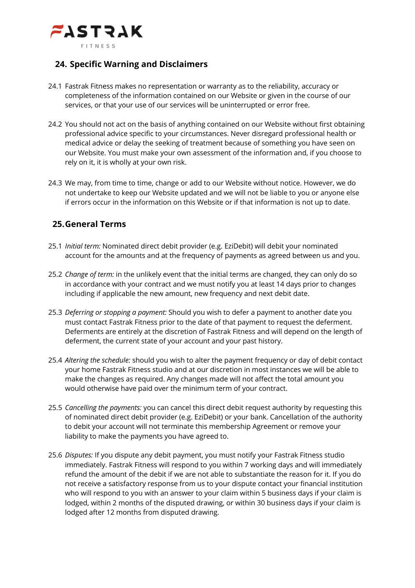

#### **24. Specific Warning and Disclaimers**

- 24.1 Fastrak Fitness makes no representation or warranty as to the reliability, accuracy or completeness of the information contained on our Website or given in the course of our services, or that your use of our services will be uninterrupted or error free.
- 24.2 You should not act on the basis of anything contained on our Website without first obtaining professional advice specific to your circumstances. Never disregard professional health or medical advice or delay the seeking of treatment because of something you have seen on our Website. You must make your own assessment of the information and, if you choose to rely on it, it is wholly at your own risk.
- 24.3 We may, from time to time, change or add to our Website without notice. However, we do not undertake to keep our Website updated and we will not be liable to you or anyone else if errors occur in the information on this Website or if that information is not up to date.

#### **25.General Terms**

- 25.1 *Initial term:* Nominated direct debit provider (e.g. EziDebit) will debit your nominated account for the amounts and at the frequency of payments as agreed between us and you.
- 25.2 *Change of term:* in the unlikely event that the initial terms are changed, they can only do so in accordance with your contract and we must notify you at least 14 days prior to changes including if applicable the new amount, new frequency and next debit date.
- 25.3 *Deferring or stopping a payment:* Should you wish to defer a payment to another date you must contact Fastrak Fitness prior to the date of that payment to request the deferment. Deferments are entirely at the discretion of Fastrak Fitness and will depend on the length of deferment, the current state of your account and your past history.
- 25.4 *Altering the schedule:* should you wish to alter the payment frequency or day of debit contact your home Fastrak Fitness studio and at our discretion in most instances we will be able to make the changes as required. Any changes made will not affect the total amount you would otherwise have paid over the minimum term of your contract.
- 25.5 *Cancelling the payments:* you can cancel this direct debit request authority by requesting this of nominated direct debit provider (e.g. EziDebit) or your bank. Cancellation of the authority to debit your account will not terminate this membership Agreement or remove your liability to make the payments you have agreed to.
- 25.6 *Disputes:* If you dispute any debit payment, you must notify your Fastrak Fitness studio immediately. Fastrak Fitness will respond to you within 7 working days and will immediately refund the amount of the debit if we are not able to substantiate the reason for it. If you do not receive a satisfactory response from us to your dispute contact your financial institution who will respond to you with an answer to your claim within 5 business days if your claim is lodged, within 2 months of the disputed drawing, or within 30 business days if your claim is lodged after 12 months from disputed drawing.